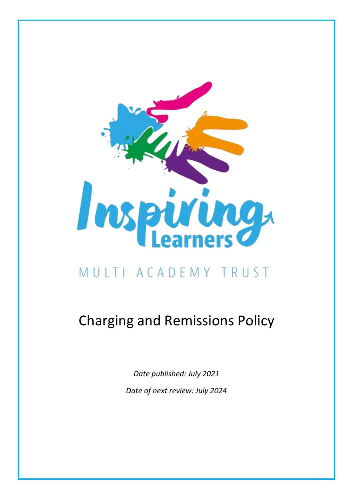

# MULTI ACADEMY TRUST

# Charging and Remissions Policy

*Date published: July 2021 Date of next review: July 2024*